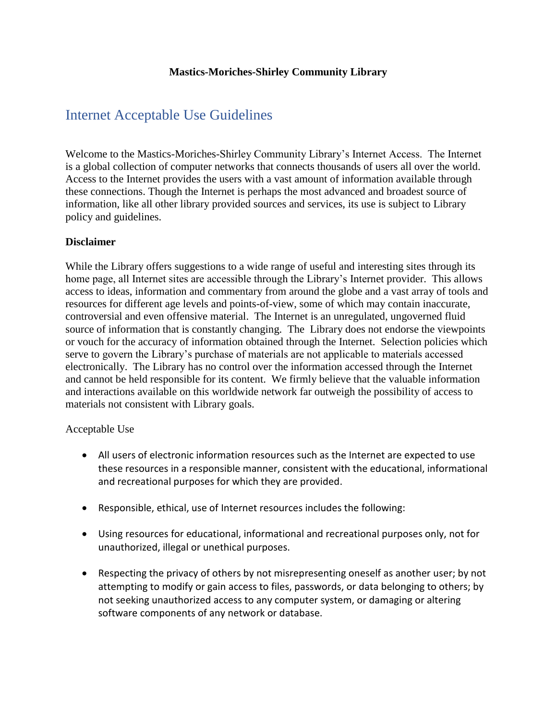## **Mastics-Moriches-Shirley Community Library**

# Internet Acceptable Use Guidelines

Welcome to the Mastics-Moriches-Shirley Community Library's Internet Access. The Internet is a global collection of computer networks that connects thousands of users all over the world. Access to the Internet provides the users with a vast amount of information available through these connections. Though the Internet is perhaps the most advanced and broadest source of information, like all other library provided sources and services, its use is subject to Library policy and guidelines.

#### **Disclaimer**

While the Library offers suggestions to a wide range of useful and interesting sites through its home page, all Internet sites are accessible through the Library's Internet provider. This allows access to ideas, information and commentary from around the globe and a vast array of tools and resources for different age levels and points-of-view, some of which may contain inaccurate, controversial and even offensive material. The Internet is an unregulated, ungoverned fluid source of information that is constantly changing. The Library does not endorse the viewpoints or vouch for the accuracy of information obtained through the Internet. Selection policies which serve to govern the Library's purchase of materials are not applicable to materials accessed electronically. The Library has no control over the information accessed through the Internet and cannot be held responsible for its content. We firmly believe that the valuable information and interactions available on this worldwide network far outweigh the possibility of access to materials not consistent with Library goals.

#### Acceptable Use

- All users of electronic information resources such as the Internet are expected to use these resources in a responsible manner, consistent with the educational, informational and recreational purposes for which they are provided.
- Responsible, ethical, use of Internet resources includes the following:
- Using resources for educational, informational and recreational purposes only, not for unauthorized, illegal or unethical purposes.
- Respecting the privacy of others by not misrepresenting oneself as another user; by not attempting to modify or gain access to files, passwords, or data belonging to others; by not seeking unauthorized access to any computer system, or damaging or altering software components of any network or database.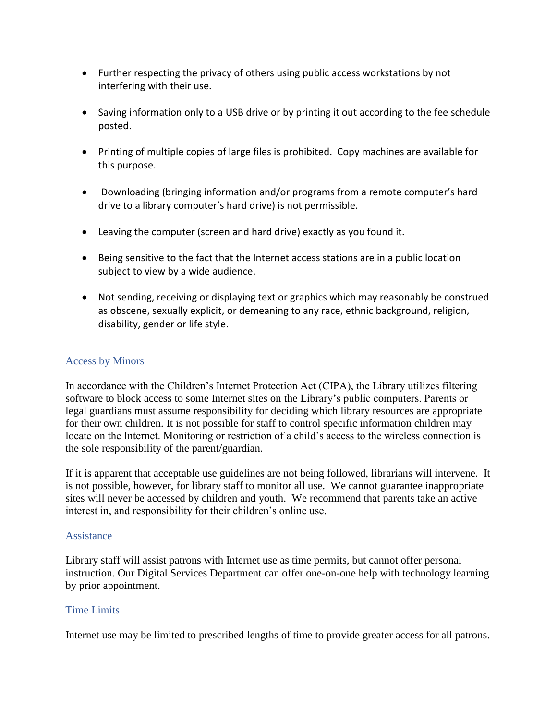- Further respecting the privacy of others using public access workstations by not interfering with their use.
- Saving information only to a USB drive or by printing it out according to the fee schedule posted.
- Printing of multiple copies of large files is prohibited. Copy machines are available for this purpose.
- Downloading (bringing information and/or programs from a remote computer's hard drive to a library computer's hard drive) is not permissible.
- Leaving the computer (screen and hard drive) exactly as you found it.
- Being sensitive to the fact that the Internet access stations are in a public location subject to view by a wide audience.
- Not sending, receiving or displaying text or graphics which may reasonably be construed as obscene, sexually explicit, or demeaning to any race, ethnic background, religion, disability, gender or life style.

## Access by Minors

In accordance with the Children's Internet Protection Act (CIPA), the Library utilizes filtering software to block access to some Internet sites on the Library's public computers. Parents or legal guardians must assume responsibility for deciding which library resources are appropriate for their own children. It is not possible for staff to control specific information children may locate on the Internet. Monitoring or restriction of a child's access to the wireless connection is the sole responsibility of the parent/guardian.

If it is apparent that acceptable use guidelines are not being followed, librarians will intervene. It is not possible, however, for library staff to monitor all use. We cannot guarantee inappropriate sites will never be accessed by children and youth. We recommend that parents take an active interest in, and responsibility for their children's online use.

#### Assistance

Library staff will assist patrons with Internet use as time permits, but cannot offer personal instruction. Our Digital Services Department can offer one-on-one help with technology learning by prior appointment.

## Time Limits

Internet use may be limited to prescribed lengths of time to provide greater access for all patrons.